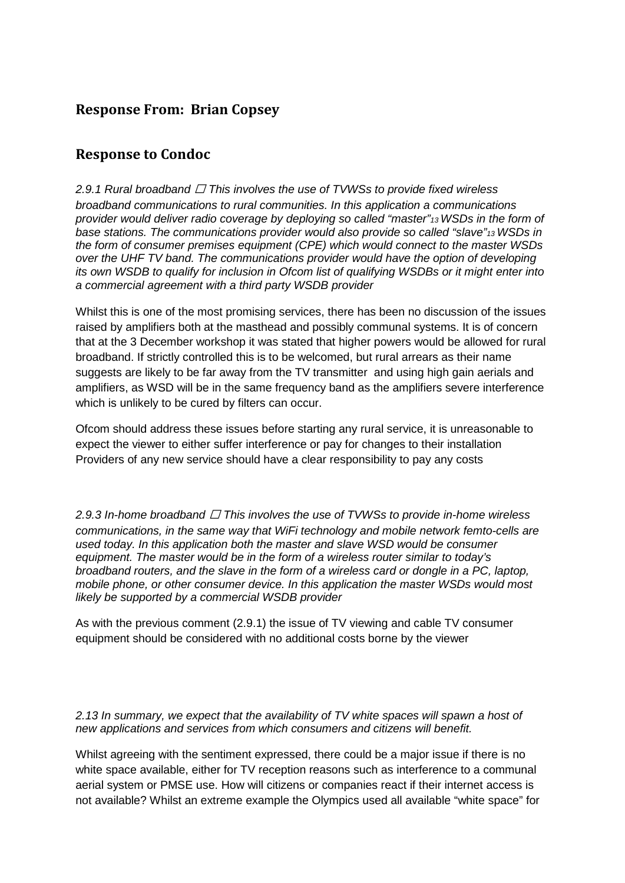# **Response From: Brian Copsey**

## **Response to Condoc**

### *2.9.1 Rural broadband This involves the use of TVWSs to provide fixed wireless*

*broadband communications to rural communities. In this application a communications provider would deliver radio coverage by deploying so called "master"13 WSDs in the form of base stations. The communications provider would also provide so called "slave"13 WSDs in the form of consumer premises equipment (CPE) which would connect to the master WSDs over the UHF TV band. The communications provider would have the option of developing its own WSDB to qualify for inclusion in Ofcom list of qualifying WSDBs or it might enter into a commercial agreement with a third party WSDB provider*

Whilst this is one of the most promising services, there has been no discussion of the issues raised by amplifiers both at the masthead and possibly communal systems. It is of concern that at the 3 December workshop it was stated that higher powers would be allowed for rural broadband. If strictly controlled this is to be welcomed, but rural arrears as their name suggests are likely to be far away from the TV transmitter and using high gain aerials and amplifiers, as WSD will be in the same frequency band as the amplifiers severe interference which is unlikely to be cured by filters can occur.

Ofcom should address these issues before starting any rural service, it is unreasonable to expect the viewer to either suffer interference or pay for changes to their installation Providers of any new service should have a clear responsibility to pay any costs

*2.9.3 In-home broadband This involves the use of TVWSs to provide in-home wireless communications, in the same way that WiFi technology and mobile network femto-cells are used today. In this application both the master and slave WSD would be consumer equipment. The master would be in the form of a wireless router similar to today's broadband routers, and the slave in the form of a wireless card or dongle in a PC, laptop, mobile phone, or other consumer device. In this application the master WSDs would most likely be supported by a commercial WSDB provider*

As with the previous comment (2.9.1) the issue of TV viewing and cable TV consumer equipment should be considered with no additional costs borne by the viewer

*2.13 In summary, we expect that the availability of TV white spaces will spawn a host of new applications and services from which consumers and citizens will benefit.*

Whilst agreeing with the sentiment expressed, there could be a major issue if there is no white space available, either for TV reception reasons such as interference to a communal aerial system or PMSE use. How will citizens or companies react if their internet access is not available? Whilst an extreme example the Olympics used all available "white space" for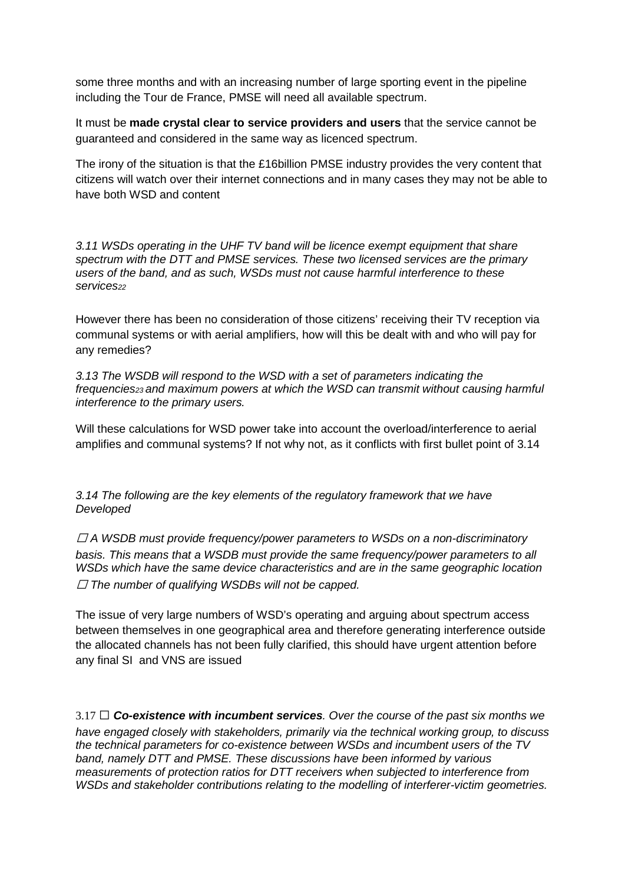some three months and with an increasing number of large sporting event in the pipeline including the Tour de France, PMSE will need all available spectrum.

It must be **made crystal clear to service providers and users** that the service cannot be guaranteed and considered in the same way as licenced spectrum.

The irony of the situation is that the £16billion PMSE industry provides the very content that citizens will watch over their internet connections and in many cases they may not be able to have both WSD and content

*3.11 WSDs operating in the UHF TV band will be licence exempt equipment that share spectrum with the DTT and PMSE services. These two licensed services are the primary users of the band, and as such, WSDs must not cause harmful interference to these services22*

However there has been no consideration of those citizens' receiving their TV reception via communal systems or with aerial amplifiers, how will this be dealt with and who will pay for any remedies?

*3.13 The WSDB will respond to the WSD with a set of parameters indicating the frequencies23 and maximum powers at which the WSD can transmit without causing harmful interference to the primary users.*

Will these calculations for WSD power take into account the overload/interference to aerial amplifies and communal systems? If not why not, as it conflicts with first bullet point of 3.14

*3.14 The following are the key elements of the regulatory framework that we have Developed*

 *A WSDB must provide frequency/power parameters to WSDs on a non-discriminatory basis. This means that a WSDB must provide the same frequency/power parameters to all WSDs which have the same device characteristics and are in the same geographic location The number of qualifying WSDBs will not be capped.*

The issue of very large numbers of WSD's operating and arguing about spectrum access between themselves in one geographical area and therefore generating interference outside the allocated channels has not been fully clarified, this should have urgent attention before any final SI and VNS are issued

3.17 *Co-existence with incumbent services. Over the course of the past six months we have engaged closely with stakeholders, primarily via the technical working group, to discuss the technical parameters for co-existence between WSDs and incumbent users of the TV band, namely DTT and PMSE. These discussions have been informed by various measurements of protection ratios for DTT receivers when subjected to interference from WSDs and stakeholder contributions relating to the modelling of interferer-victim geometries.*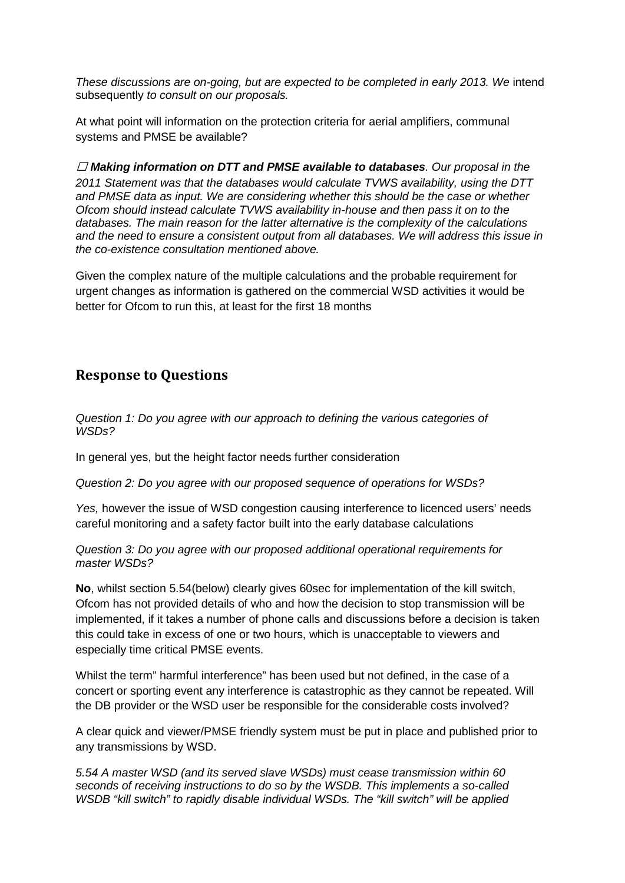*These discussions are on-going, but are expected to be completed in early 2013. We* intend subsequently *to consult on our proposals.*

At what point will information on the protection criteria for aerial amplifiers, communal systems and PMSE be available?

 *Making information on DTT and PMSE available to databases. Our proposal in the 2011 Statement was that the databases would calculate TVWS availability, using the DTT and PMSE data as input. We are considering whether this should be the case or whether Ofcom should instead calculate TVWS availability in-house and then pass it on to the databases. The main reason for the latter alternative is the complexity of the calculations and the need to ensure a consistent output from all databases. We will address this issue in the co-existence consultation mentioned above.*

Given the complex nature of the multiple calculations and the probable requirement for urgent changes as information is gathered on the commercial WSD activities it would be better for Ofcom to run this, at least for the first 18 months

## **Response to Questions**

*Question 1: Do you agree with our approach to defining the various categories of WSDs?*

In general yes, but the height factor needs further consideration

*Question 2: Do you agree with our proposed sequence of operations for WSDs?*

*Yes,* however the issue of WSD congestion causing interference to licenced users' needs careful monitoring and a safety factor built into the early database calculations

*Question 3: Do you agree with our proposed additional operational requirements for master WSDs?*

**No**, whilst section 5.54(below) clearly gives 60sec for implementation of the kill switch, Ofcom has not provided details of who and how the decision to stop transmission will be implemented, if it takes a number of phone calls and discussions before a decision is taken this could take in excess of one or two hours, which is unacceptable to viewers and especially time critical PMSE events.

Whilst the term" harmful interference" has been used but not defined, in the case of a concert or sporting event any interference is catastrophic as they cannot be repeated. Will the DB provider or the WSD user be responsible for the considerable costs involved?

A clear quick and viewer/PMSE friendly system must be put in place and published prior to any transmissions by WSD.

*5.54 A master WSD (and its served slave WSDs) must cease transmission within 60 seconds of receiving instructions to do so by the WSDB. This implements a so-called WSDB "kill switch" to rapidly disable individual WSDs. The "kill switch" will be applied*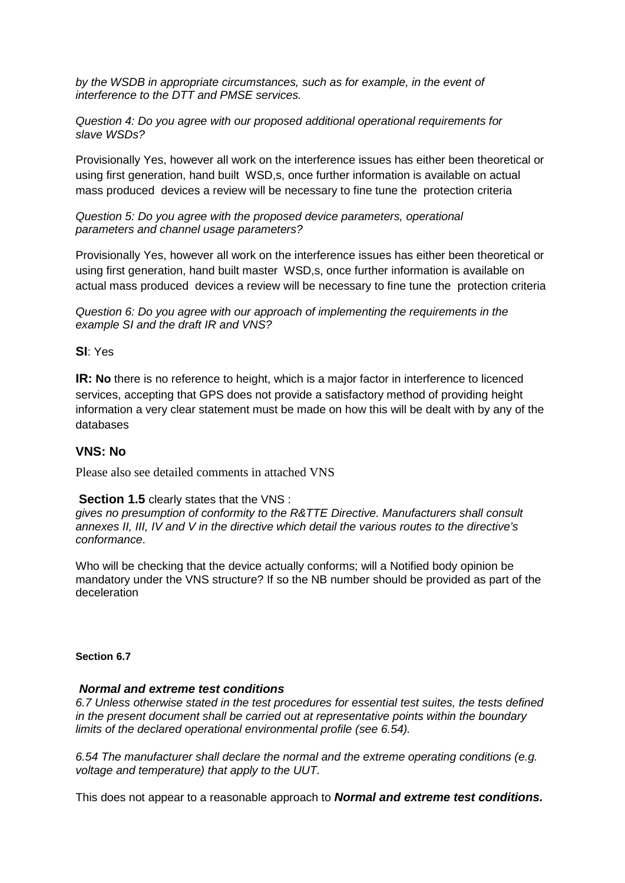*by the WSDB in appropriate circumstances, such as for example, in the event of interference to the DTT and PMSE services.*

*Question 4: Do you agree with our proposed additional operational requirements for slave WSDs?*

Provisionally Yes, however all work on the interference issues has either been theoretical or using first generation, hand built WSD,s, once further information is available on actual mass produced devices a review will be necessary to fine tune the protection criteria

*Question 5: Do you agree with the proposed device parameters, operational parameters and channel usage parameters?*

Provisionally Yes, however all work on the interference issues has either been theoretical or using first generation, hand built master WSD,s, once further information is available on actual mass produced devices a review will be necessary to fine tune the protection criteria

*Question 6: Do you agree with our approach of implementing the requirements in the example SI and the draft IR and VNS?*

### **SI**: Yes

**IR: No** there is no reference to height, which is a major factor in interference to licenced services, accepting that GPS does not provide a satisfactory method of providing height information a very clear statement must be made on how this will be dealt with by any of the databases

### **VNS: No**

Please also see detailed comments in attached VNS

#### **Section 1.5** clearly states that the VNS :

*gives no presumption of conformity to the R&TTE Directive. Manufacturers shall consult annexes II, III, IV and V in the directive which detail the various routes to the directive's conformance*.

Who will be checking that the device actually conforms; will a Notified body opinion be mandatory under the VNS structure? If so the NB number should be provided as part of the deceleration

#### **Section 6.7**

#### *Normal and extreme test conditions*

*6.7 Unless otherwise stated in the test procedures for essential test suites, the tests defined in the present document shall be carried out at representative points within the boundary limits of the declared operational environmental profile (see 6.54).* 

*6.54 The manufacturer shall declare the normal and the extreme operating conditions (e.g. voltage and temperature) that apply to the UUT.* 

This does not appear to a reasonable approach to *Normal and extreme test conditions.*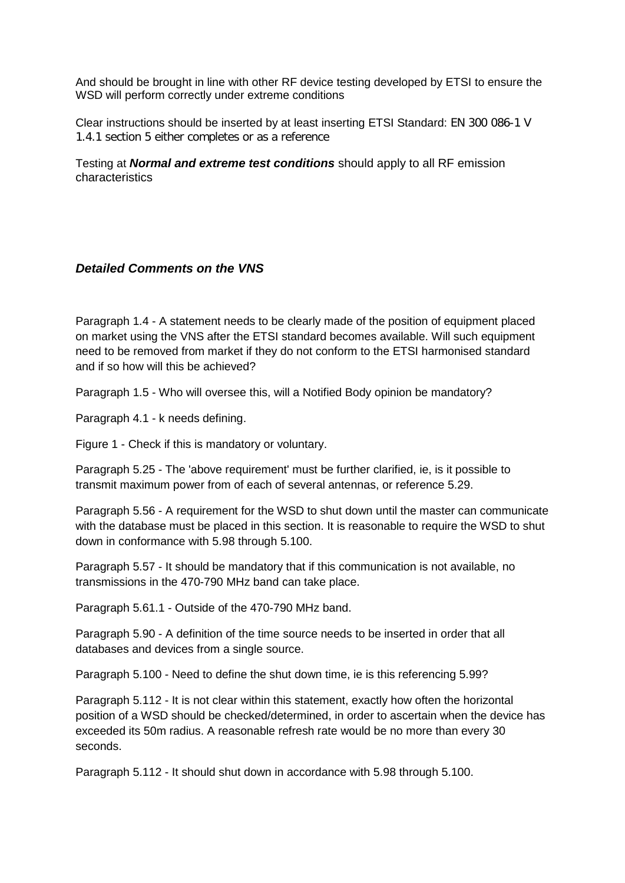And should be brought in line with other RF device testing developed by ETSI to ensure the WSD will perform correctly under extreme conditions

Clear instructions should be inserted by at least inserting ETSI Standard: EN 300 086-1 V 1.4.1 section 5 either completes or as a reference

Testing at *Normal and extreme test conditions* should apply to all RF emission characteristics

## *Detailed Comments on the VNS*

Paragraph 1.4 - A statement needs to be clearly made of the position of equipment placed on market using the VNS after the ETSI standard becomes available. Will such equipment need to be removed from market if they do not conform to the ETSI harmonised standard and if so how will this be achieved?

Paragraph 1.5 - Who will oversee this, will a Notified Body opinion be mandatory?

Paragraph 4.1 - k needs defining.

Figure 1 - Check if this is mandatory or voluntary.

Paragraph 5.25 - The 'above requirement' must be further clarified, ie, is it possible to transmit maximum power from of each of several antennas, or reference 5.29.

Paragraph 5.56 - A requirement for the WSD to shut down until the master can communicate with the database must be placed in this section. It is reasonable to require the WSD to shut down in conformance with 5.98 through 5.100.

Paragraph 5.57 - It should be mandatory that if this communication is not available, no transmissions in the 470-790 MHz band can take place.

Paragraph 5.61.1 - Outside of the 470-790 MHz band.

Paragraph 5.90 - A definition of the time source needs to be inserted in order that all databases and devices from a single source.

Paragraph 5.100 - Need to define the shut down time, ie is this referencing 5.99?

Paragraph 5.112 - It is not clear within this statement, exactly how often the horizontal position of a WSD should be checked/determined, in order to ascertain when the device has exceeded its 50m radius. A reasonable refresh rate would be no more than every 30 seconds.

Paragraph 5.112 - It should shut down in accordance with 5.98 through 5.100.